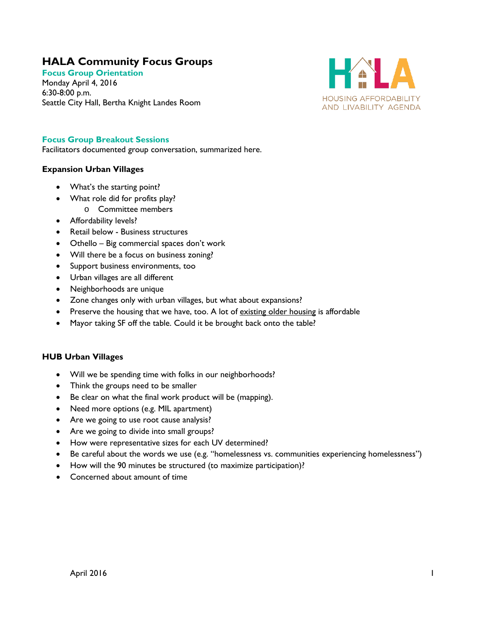# **HALA Community Focus Groups**

**Focus Group Orientation** Monday April 4, 2016 6:30-8:00 p.m. Seattle City Hall, Bertha Knight Landes Room



## **Focus Group Breakout Sessions**

Facilitators documented group conversation, summarized here.

### **Expansion Urban Villages**

- What's the starting point?
- What role did for profits play?
	- o Committee members
- Affordability levels?
- Retail below Business structures
- Othello Big commercial spaces don't work
- Will there be a focus on business zoning?
- Support business environments, too
- Urban villages are all different
- Neighborhoods are unique
- Zone changes only with urban villages, but what about expansions?
- Preserve the housing that we have, too. A lot of existing older housing is affordable
- Mayor taking SF off the table. Could it be brought back onto the table?

#### **HUB Urban Villages**

- Will we be spending time with folks in our neighborhoods?
- Think the groups need to be smaller
- Be clear on what the final work product will be (mapping).
- Need more options (e.g. MIL apartment)
- Are we going to use root cause analysis?
- Are we going to divide into small groups?
- How were representative sizes for each UV determined?
- Be careful about the words we use (e.g. "homelessness vs. communities experiencing homelessness")
- How will the 90 minutes be structured (to maximize participation)?
- Concerned about amount of time